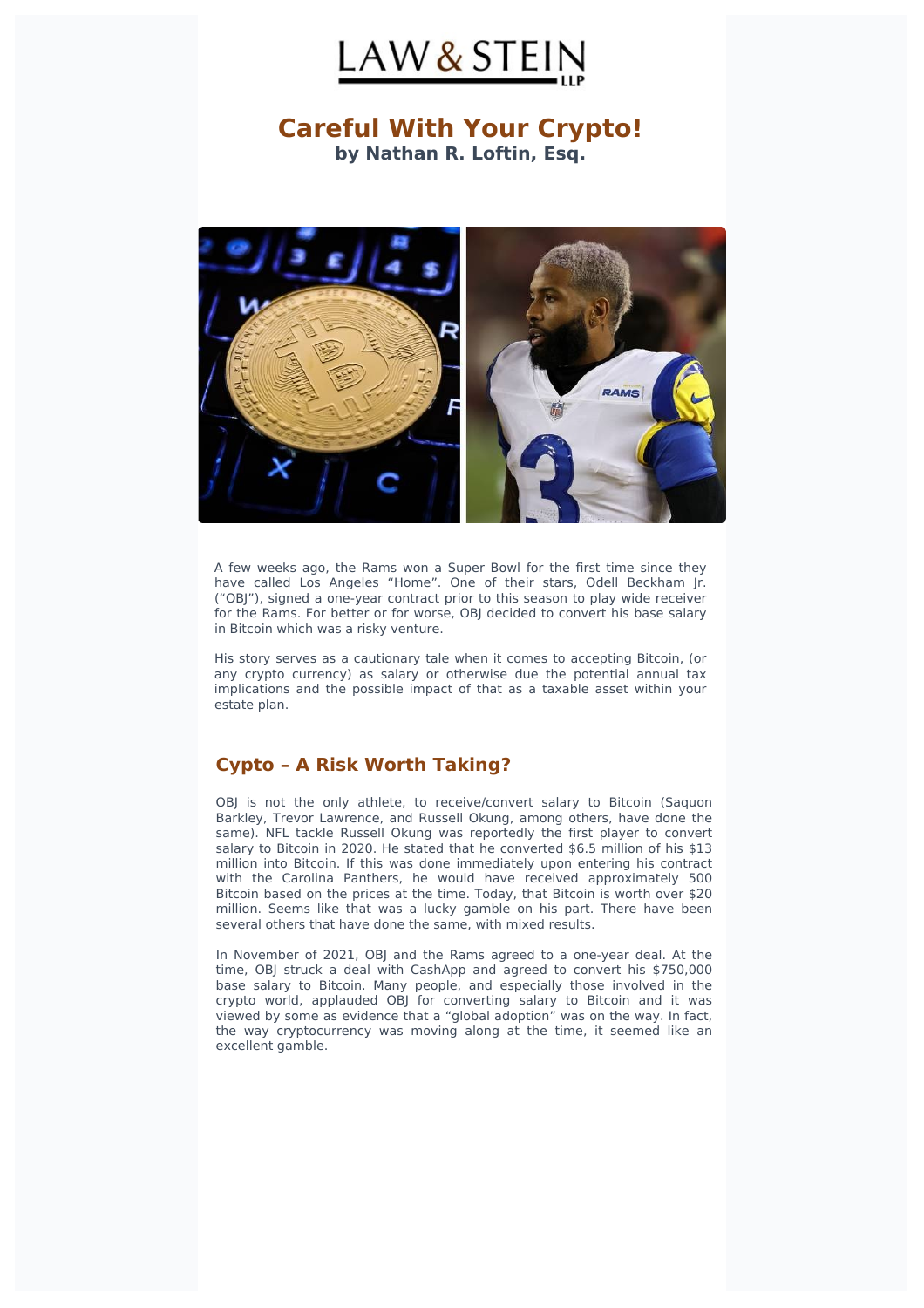

# **Careful With Your Crypto!** by Nathan R. Loftin, Esq.



A few weeks ago, the Rams won a Super Bowl for the first time since they have called Los Angeles "Home". One of their stars, Odell Beckham Jr. ("OBJ"), signed a one-year contract prior to this season to play wide receiver for the Rams. For better or for worse, OBJ decided to convert his base salary in Bitcoin which was a risky venture.

His story serves as a cautionary tale when it comes to accepting Bitcoin, (or any crypto currency) as salary or otherwise due the potential annual tax implications and the possible impact of that as a taxable asset within your estate plan.

#### **Cypto – A Risk Worth Taking?**

OBJ is not the only athlete, to receive/convert salary to Bitcoin (Saquon Barkley, Trevor Lawrence, and Russell Okung, among others, have done the same). NFL tackle Russell Okung was reportedly the first player to convert salary to Bitcoin in 2020. He stated that he converted \$6.5 million of his \$13 million into Bitcoin. If this was done immediately upon entering his contract with the Carolina Panthers, he would have received approximately 500 Bitcoin based on the prices at the time. Today, that Bitcoin is worth over \$20 million. Seems like that was a lucky gamble on his part. There have been several others that have done the same, with mixed results.

In November of 2021, OBJ and the Rams agreed to a one-year deal. At the time, OBJ struck a deal with CashApp and agreed to convert his \$750,000 base salary to Bitcoin. Many people, and especially those involved in the crypto world, applauded OBJ for converting salary to Bitcoin and it was viewed by some as evidence that a "global adoption" was on the way. In fact, the way cryptocurrency was moving along at the time, it seemed like an excellent gamble.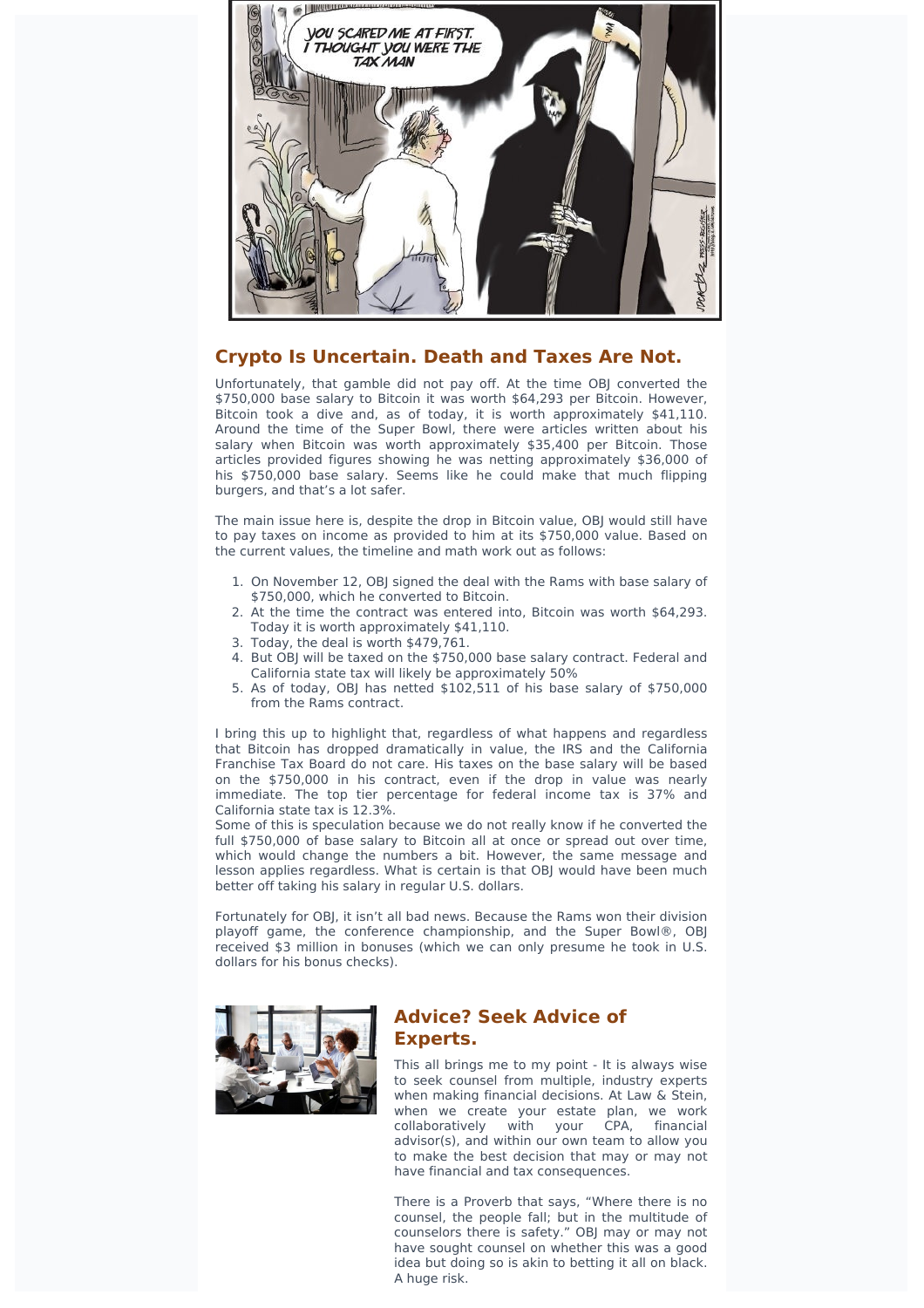

## **Crypto Is Uncertain. Death and Taxes Are Not.**

Unfortunately, that gamble did not pay off. At the time OBJ converted the \$750,000 base salary to Bitcoin it was worth \$64,293 per Bitcoin. However, Bitcoin took a dive and, as of today, it is worth approximately \$41,110. Around the time of the Super Bowl, there were articles written about his salary when Bitcoin was worth approximately \$35,400 per Bitcoin. Those articles provided figures showing he was netting approximately \$36,000 of his \$750,000 base salary. Seems like he could make that much flipping burgers, and that's a lot safer.

The main issue here is, despite the drop in Bitcoin value, OBJ would still have to pay taxes on income as provided to him at its \$750,000 value. Based on the current values, the timeline and math work out as follows:

- 1. On November 12, OBI signed the deal with the Rams with base salary of \$750,000, which he converted to Bitcoin.
- 2. At the time the contract was entered into, Bitcoin was worth \$64,293. Today it is worth approximately \$41,110.
- 3. Today, the deal is worth \$479,761.
- 4. But OBJ will be taxed on the \$750,000 base salary contract. Federal and California state tax will likely be approximately 50%
- 5. As of today, OBJ has netted \$102,511 of his base salary of \$750,000 from the Rams contract.

I bring this up to highlight that, regardless of what happens and regardless that Bitcoin has dropped dramatically in value, the IRS and the California Franchise Tax Board do not care. His taxes on the base salary will be based on the \$750,000 in his contract, even if the drop in value was nearly immediate. The top tier percentage for federal income tax is 37% and California state tax is 12.3%.

Some of this is speculation because we do not really know if he converted the full \$750,000 of base salary to Bitcoin all at once or spread out over time, which would change the numbers a bit. However, the same message and lesson applies regardless. What is certain is that OBJ would have been much better off taking his salary in regular U.S. dollars.

Fortunately for OBJ, it isn't all bad news. Because the Rams won their division playoff game, the conference championship, and the Super Bowl®, OBJ received \$3 million in bonuses (which we can only presume he took in U.S. dollars for his bonus checks).



## **Advice? Seek Advice of Experts.**

This all brings me to my point - It is always wise to seek counsel from multiple, industry experts when making financial decisions. At Law & Stein, when we create your estate plan, we work collaboratively with your CPA, financial advisor(s), and within our own team to allow you to make the best decision that may or may not have financial and tax consequences.

There is a Proverb that says, "Where there is no counsel, the people fall; but in the multitude of counselors there is safety." OBJ may or may not have sought counsel on whether this was a good idea but doing so is akin to betting it all on black. A huge risk.